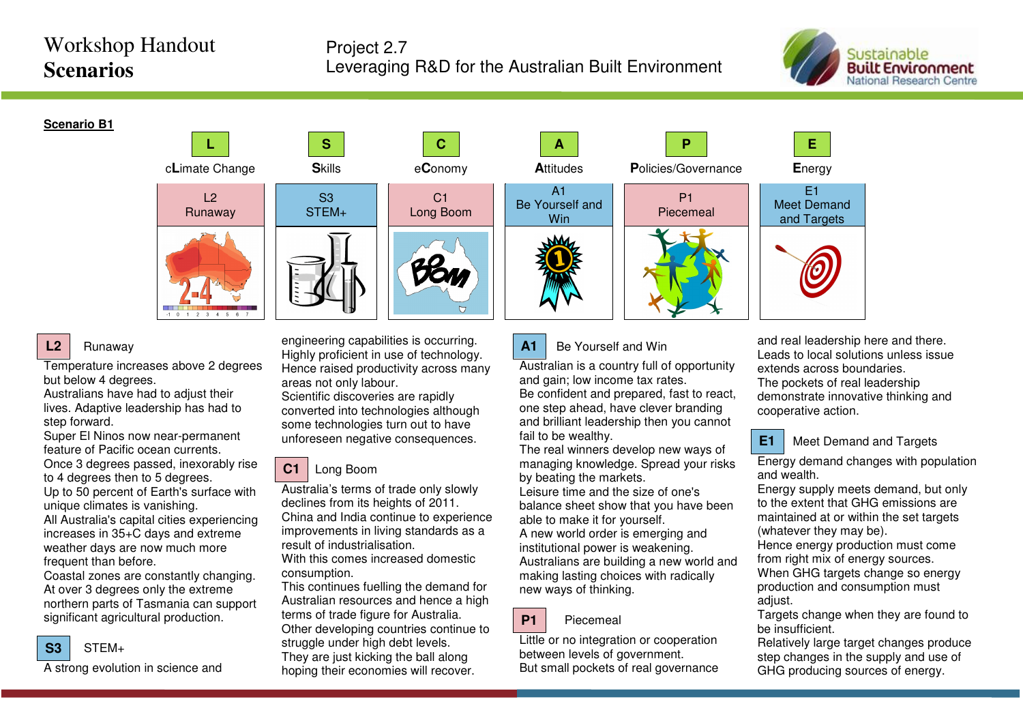# Workshop Handout **Scenarios**

## Project 2.7 Leveraging R&D for the Australian Built Environment



### **Scenario B1**



### Runaway

**L2**

Temperature increases above 2 degrees but below 4 degrees.

 Australians have had to adjust their lives. Adaptive leadership has had to step forward.

 Super El Ninos now near-permanent feature of Pacific ocean currents. Once 3 degrees passed, inexorably rise

to 4 degrees then to 5 degrees. Up to 50 percent of Earth's surface with unique climates is vanishing. All Australia's capital cities experiencing increases in 35+C days and extreme weather days are now much more frequent than before.

 Coastal zones are constantly changing. At over 3 degrees only the extreme northern parts of Tasmania can support significant agricultural production.



A strong evolution in science and

engineering capabilities is occurring. Highly proficient in use of technology. Hence raised productivity across many areas not only labour. Scientific discoveries are rapidly converted into technologies although some technologies turn out to have unforeseen negative consequences.

**C** 

 $C<sub>1</sub>$ Long Boom

## Long Boom

S3 STEM+

Australia's terms of trade only slowly declines from its heights of 2011. China and India continue to experience improvements in living standards as a result of industrialisation. With this comes increased domestic

consumption.

 This continues fuelling the demand for Australian resources and hence a high terms of trade figure for Australia. Other developing countries continue to struggle under high debt levels. They are just kicking the ball along hoping their economies will recover.





#### **A1**Be Yourself and Win

Australian is a country full of opportunity and gain; low income tax rates. Be confident and prepared, fast to react, one step ahead, have clever branding and brilliant leadership then you cannot fail to be wealthy.

 The real winners develop new ways of managing knowledge. Spread your risks by beating the markets.

 Leisure time and the size of one's balance sheet show that you have been able to make it for yourself. A new world order is emerging and

institutional power is weakening. Australians are building a new world and making lasting choices with radically new ways of thinking.

#### **P1**Piecemeal

Little or no integration or cooperation between levels of government. But small pockets of real governance and real leadership here and there. Leads to local solutions unless issue extends across boundaries. The pockets of real leadership demonstrate innovative thinking and cooperative action.



Meet Demand and Targets

Energy demand changes with population and wealth.

 Energy supply meets demand, but only to the extent that GHG emissions are maintained at or within the set targets (whatever they may be).

 Hence energy production must come from right mix of energy sources.

 When GHG targets change so energy production and consumption must adiust.

 Targets change when they are found to be insufficient.

 Relatively large target changes produce step changes in the supply and use of GHG producing sources of energy.

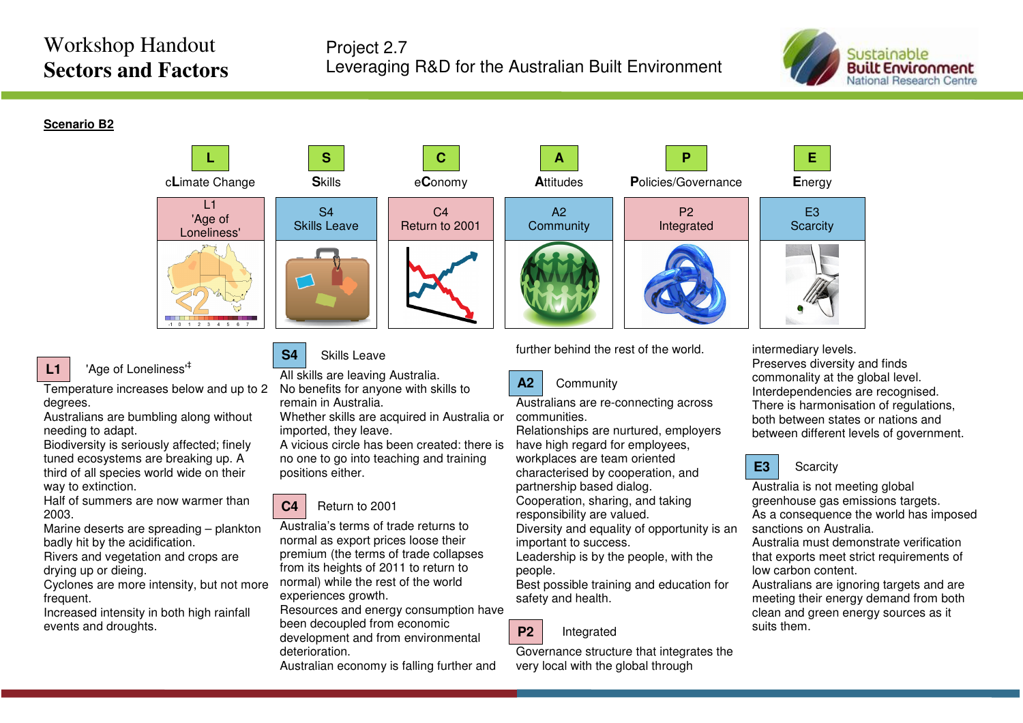# Workshop Handout **Sectors and Factors**



**Scenario B2**



#### **L1**'Age of Loneliness'‡

Temperature increases below and up to 2 degrees.

 Australians are bumbling along without needing to adapt.

 Biodiversity is seriously affected; finely tuned ecosystems are breaking up. A third of all species world wide on their way to extinction.

 Half of summers are now warmer than 2003.

 Marine deserts are spreading – plankton badly hit by the acidification.

 Rivers and vegetation and crops are drying up or dieing.

 Cyclones are more intensity, but not more frequent.

 Increased intensity in both high rainfall events and droughts.



All skills are leaving Australia. No benefits for anyone with skills to remain in Australia.

 Whether skills are acquired in Australia or imported, they leave.

 A vicious circle has been created: there is no one to go into teaching and training positions either.

### **C4**Return to 2001

Australia's terms of trade returns to normal as export prices loose their premium (the terms of trade collapses from its heights of 2011 to return to normal) while the rest of the world experiences growth.

 Resources and energy consumption have been decoupled from economic development and from environmental deterioration.

Australian economy is falling further and

further behind the rest of the world.



Australians are re-connecting across communities.

 Relationships are nurtured, employers have high regard for employees, workplaces are team oriented characterised by cooperation, and partnership based dialog.

 Cooperation, sharing, and taking responsibility are valued.

 Diversity and equality of opportunity is an important to success.

 Leadership is by the people, with the people.

 Best possible training and education for safety and health.



Governance structure that integrates the very local with the global through

intermediary levels.

 Preserves diversity and finds commonality at the global level. Interdependencies are recognised. There is harmonisation of regulations, both between states or nations and between different levels of government.



**Scarcity** 

Australia is not meeting global greenhouse gas emissions targets. As a consequence the world has imposed sanctions on Australia.

 Australia must demonstrate verification that exports meet strict requirements of low carbon content.

 Australians are ignoring targets and are meeting their energy demand from both clean and green energy sources as it suits them.

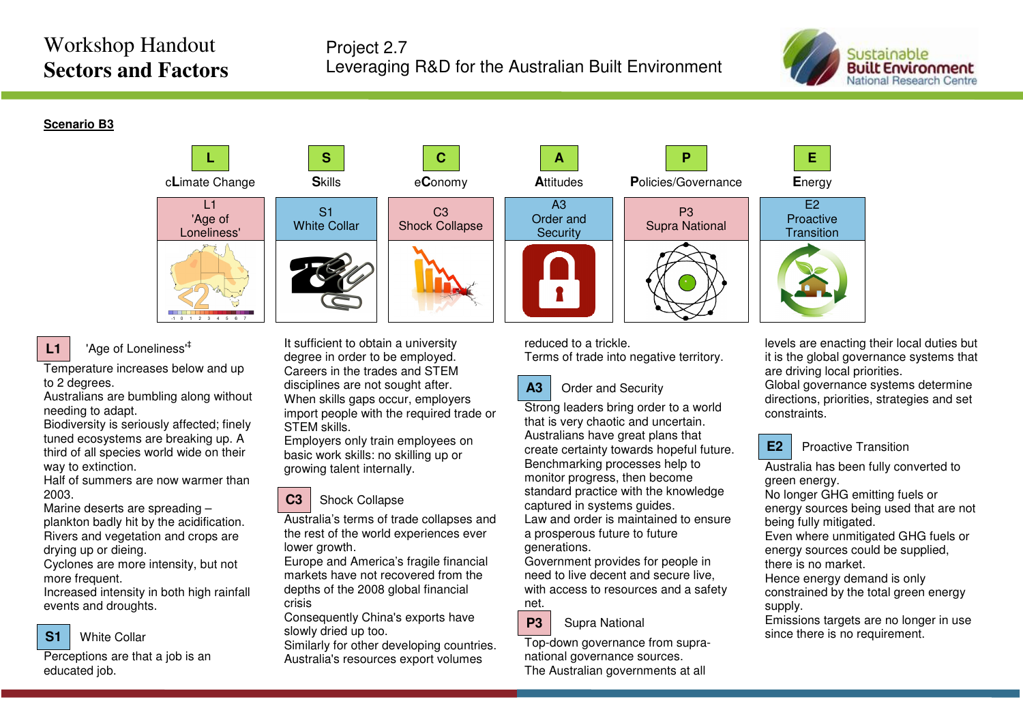# Workshop Handout **Sectors and Factors**



**Scenario B3**



## 'Age of Loneliness'‡

**L1**

Temperature increases below and up to 2 degrees.

 Australians are bumbling along without needing to adapt.

 Biodiversity is seriously affected; finely tuned ecosystems are breaking up. A third of all species world wide on their way to extinction.

 Half of summers are now warmer than 2003.

 Marine deserts are spreading – plankton badly hit by the acidification. Rivers and vegetation and crops are drying up or dieing.

 Cyclones are more intensity, but not more frequent.

 Increased intensity in both high rainfall events and droughts.



Perceptions are that a job is an educated job.

It sufficient to obtain a university degree in order to be employed. Careers in the trades and STEM disciplines are not sought after. When skills gaps occur, employers import people with the required trade or STEM skills.

 Employers only train employees on basic work skills: no skilling up or growing talent internally.

### **C3**Shock Collapse

Australia's terms of trade collapses and the rest of the world experiences ever lower growth.

 Europe and America's fragile financial markets have not recovered from the depths of the 2008 global financial crisis

 Consequently China's exports have slowly dried up too.

 Similarly for other developing countries. Australia's resources export volumes

reduced to a trickle. Terms of trade into negative territory.

### **A3**Order and Security

Strong leaders bring order to a world that is very chaotic and uncertain. Australians have great plans that create certainty towards hopeful future. Benchmarking processes help to monitor progress, then become standard practice with the knowledge captured in systems guides.

 Law and order is maintained to ensure a prosperous future to future generations.

 Government provides for people in need to live decent and secure live, with access to resources and a safety net.



Top-down governance from supranational governance sources. The Australian governments at all

levels are enacting their local duties but it is the global governance systems that are driving local priorities.

 Global governance systems determine directions, priorities, strategies and set constraints.



### Proactive Transition

Australia has been fully converted to green energy.

 No longer GHG emitting fuels or energy sources being used that are not being fully mitigated.

 Even where unmitigated GHG fuels or energy sources could be supplied, there is no market.

 Hence energy demand is only constrained by the total green energy supply.

 Emissions targets are no longer in use since there is no requirement.